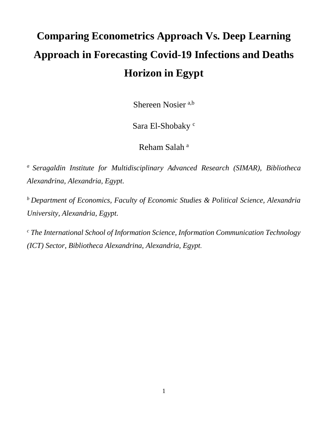# **Comparing Econometrics Approach Vs. Deep Learning Approach in Forecasting Covid-19 Infections and Deaths Horizon in Egypt**

Shereen Nosier a,b

Sara El-Shobaky<sup>c</sup>

Reham Salah<sup>a</sup>

*<sup>a</sup> Seragaldin Institute for Multidisciplinary Advanced Research (SIMAR), Bibliotheca Alexandrina, Alexandria, Egypt.*

*<sup>b</sup> Department of Economics, Faculty of Economic Studies & Political Science, Alexandria University, Alexandria, Egypt.*

*<sup>c</sup> The International School of Information Science, Information Communication Technology (ICT) Sector, Bibliotheca Alexandrina, Alexandria, Egypt.*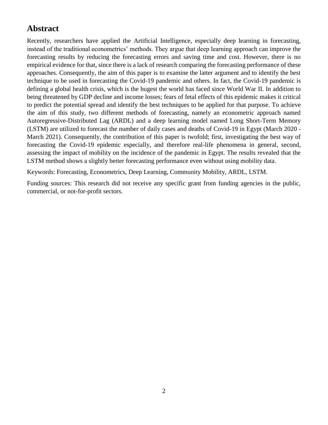# **Abstract**

Recently, researchers have applied the Artificial Intelligence, especially deep learning in forecasting, instead of the traditional econometrics' methods. They argue that deep learning approach can improve the forecasting results by reducing the forecasting errors and saving time and cost. However, there is no empirical evidence for that, since there is a lack of research comparing the forecasting performance of these approaches. Consequently, the aim of this paper is to examine the latter argument and to identify the best technique to be used in forecasting the Covid-19 pandemic and others. In fact, the Covid-19 pandemic is defining a global health crisis, which is the hugest the world has faced since World War II. In addition to being threatened by GDP decline and income losses; fears of fetal effects of this epidemic makes it critical to predict the potential spread and identify the best techniques to be applied for that purpose. To achieve the aim of this study, two different methods of forecasting, namely an econometric approach named Autoregressive-Distributed Lag (ARDL) and a deep learning model named Long Short-Term Memory (LSTM) are utilized to forecast the number of daily cases and deaths of Covid-19 in Egypt (March 2020 - March 2021). Consequently, the contribution of this paper is twofold; first, investigating the best way of forecasting the Covid-19 epidemic especially, and therefore real-life phenomena in general, second, assessing the impact of mobility on the incidence of the pandemic in Egypt. The results revealed that the LSTM method shows a slightly better forecasting performance even without using mobility data.

Keywords: Forecasting, Econometrics, Deep Learning, Community Mobility, ARDL, LSTM.

Funding sources: This research did not receive any specific grant from funding agencies in the public, commercial, or not-for-profit sectors.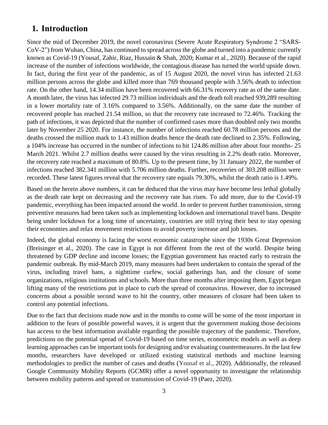# **1. Introduction**

Since the mid of December 2019, the novel coronavirus (Severe Acute Respiratory Syndrome 2 "SARS-CoV-2") from Wuhan, China, has continued to spread across the globe and turned into a pandemic currently known as Covid-19 (Yousaf, Zahir, Riaz, Hussain & Shah, 2020; Kumar et al., 2020). Because of the rapid increase of the number of infections worldwide, the contagious disease has turned the world upside down. In fact, during the first year of the pandemic, as of 15 August 2020, the novel virus has infected 21.63 million persons across the globe and killed more than 769 thousand people with 3.56% death to infection rate. On the other hand, 14.34 million have been recovered with 66.31% recovery rate as of the same date. A month later, the virus has infected 29.73 million individuals and the death toll reached 939,289 resulting in a lower mortality rate of 3.16% compared to 3.56%. Additionally, on the same date the number of recovered people has reached 21.54 million, so that the recovery rate increased to 72.46%. Tracking the path of infections, it was depicted that the number of confirmed cases more than doubled only two months later by November 25 2020. For instance, the number of infections reached 60.78 million persons and the deaths crossed the million mark to 1.43 million deaths hence the death rate declined to 2.35%. Following, a 104% increase has occurred in the number of infections to hit 124.86 million after about four months- 25 March 2021. Whilst 2.7 million deaths were caused by the virus resulting in 2.2% death ratio. Moreover, the recovery rate reached a maximum of 80.8%. Up to the present time, by 31 January 2022, the number of infections reached 382.341 million with 5.706 million deaths. Further, recoveries of 303.208 million were recorded. These latest figures reveal that the recovery rate equals 79.30%, whilst the death ratio is 1.49%.

Based on the herein above numbers, it can be deduced that the virus may have become less lethal globally as the death rate kept on decreasing and the recovery rate has risen. To add more, due to the Covid-19 pandemic, everything has been impacted around the world. In order to prevent further transmission, strong preventive measures had been taken such as implementing lockdown and international travel bans. Despite being under lockdown for a long time of uncertainty, countries are still trying their best to stay opening their economies and relax movement restrictions to avoid poverty increase and job losses.

Indeed, the global economy is facing the worst economic catastrophe since the 1930s Great Depression (Breisinger et al., 2020). The case in Egypt is not different from the rest of the world. Despite being threatened by GDP decline and income losses; the Egyptian government has reacted early to restrain the pandemic outbreak. By mid-March 2019, many measures had been undertaken to contain the spread of the virus, including travel bans, a nighttime curfew, social gatherings ban, and the closure of some organizations, religious institutions and schools. More than three months after imposing them, Egypt began lifting many of the restrictions put in place to curb the spread of coronavirus. However, due to increased concerns about a possible second wave to hit the country, other measures of closure had been taken to control any potential infections.

Due to the fact that decisions made now and in the months to come will be some of the most important in addition to the fears of possible powerful waves, it is urgent that the government making those decisions has access to the best information available regarding the possible trajectory of the pandemic. Therefore, predictions on the potential spread of Covid-19 based on time series, econometric models as well as deep learning approaches can be important tools for designing and/or evaluating countermeasures. In the last few months, researchers have developed or utilized existing statistical methods and machine learning methodologies to predict the number of cases and deaths (Yousaf et al., 2020). Additionally, the released Google Community Mobility Reports (GCMR) offer a novel opportunity to investigate the relationship between mobility patterns and spread or transmission of Covid-19 (Paez, 2020).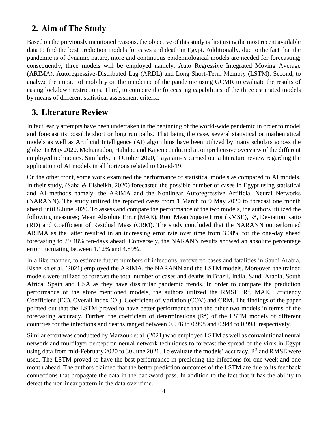# **2. Aim of The Study**

Based on the previously mentioned reasons, the objective of this study is first using the most recent available data to find the best prediction models for cases and death in Egypt. Additionally, due to the fact that the pandemic is of dynamic nature, more and continuous epidemiological models are needed for forecasting; consequently, three models will be employed namely, Auto Regressive Integrated Moving Average (ARIMA), Autoregressive-Distributed Lag (ARDL) and Long Short-Term Memory (LSTM). Second, to analyze the impact of mobility on the incidence of the pandemic using GCMR to evaluate the results of easing lockdown restrictions. Third, to compare the forecasting capabilities of the three estimated models by means of different statistical assessment criteria.

## **3. Literature Review**

In fact, early attempts have been undertaken in the beginning of the world-wide pandemic in order to model and forecast its possible short or long run paths. That being the case, several statistical or mathematical models as well as Artificial Intelligence (AI) algorithms have been utilized by many scholars across the globe. In May 2020, Mohamadou, Halidou and Kapen conducted a comprehensive overview of the different employed techniques. Similarly, in October 2020, Tayarani-N carried out a literature review regarding the application of AI models in all horizons related to Covid-19.

On the other front, some work examined the performance of statistical models as compared to AI models. In their study, (Saba & Elsheikh, 2020) forecasted the possible number of cases in Egypt using statistical and AI methods namely; the ARIMA and the Nonlinear Autoregressive Artificial Neural Networks (NARANN). The study utilized the reported cases from 1 March to 9 May 2020 to forecast one month ahead until 8 June 2020. To assess and compare the performance of the two models, the authors utilized the following measures; Mean Absolute Error (MAE), Root Mean Square Error (RMSE), R<sup>2</sup>, Deviation Ratio (RD) and Coefficient of Residual Mass (CRM). The study concluded that the NARANN outperformed ARIMA as the latter resulted in an increasing error rate over time from 3.08% for the one-day ahead forecasting to 29.48% ten-days ahead. Conversely, the NARANN results showed an absolute percentage error fluctuating between 1.12% and 4.89%.

In a like manner, to estimate future numbers of infections, recovered cases and fatalities in Saudi Arabia, Elsheikh et al. (2021) employed the ARIMA, the NARANN and the LSTM models. Moreover, the trained models were utilized to forecast the total number of cases and deaths in Brazil, India, Saudi Arabia, South Africa, Spain and USA as they have dissimilar pandemic trends. In order to compare the prediction performance of the afore mentioned models, the authors utilized the RMSE,  $R^2$ , MAE, Efficiency Coefficient (EC), Overall Index (OI), Coefficient of Variation (COV) and CRM. The findings of the paper pointed out that the LSTM proved to have better performance than the other two models in terms of the forecasting accuracy. Further, the coefficient of determinations  $(R^2)$  of the LSTM models of different countries for the infections and deaths ranged between 0.976 to 0.998 and 0.944 to 0.998, respectively.

Similar effort was conducted by Marzouk et al. (2021) who employed LSTM as well as convolutional neural network and multilayer perceptron neural network techniques to forecast the spread of the virus in Egypt using data from mid-February 2020 to 30 June 2021. To evaluate the models' accuracy,  $R^2$  and RMSE were used. The LSTM proved to have the best performance in predicting the infections for one week and one month ahead. The authors claimed that the better prediction outcomes of the LSTM are due to its feedback connections that propagate the data in the backward pass. In addition to the fact that it has the ability to detect the nonlinear pattern in the data over time.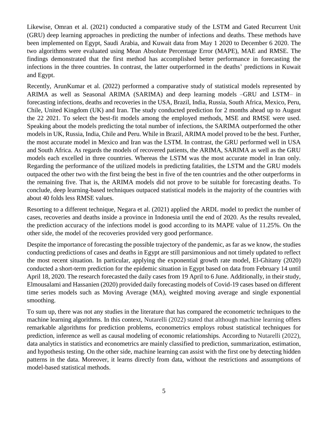Likewise, Omran et al. (2021) conducted a comparative study of the LSTM and Gated Recurrent Unit (GRU) deep learning approaches in predicting the number of infections and deaths. These methods have been implemented on Egypt, Saudi Arabia, and Kuwait data from May 1 2020 to December 6 2020. The two algorithms were evaluated using Mean Absolute Percentage Error (MAPE), MAE and RMSE. The findings demonstrated that the first method has accomplished better performance in forecasting the infections in the three countries. In contrast, the latter outperformed in the deaths' predictions in Kuwait and Egypt.

Recently, ArunKumar et al. (2022) performed a comparative study of statistical models represented by ARIMA as well as Seasonal ARIMA (SARIMA) and deep learning models –GRU and LSTM– in forecasting infections, deaths and recoveries in the USA, Brazil, India, Russia, South Africa, Mexico, Peru, Chile, United Kingdom (UK) and Iran. The study conducted prediction for 2 months ahead up to August the 22 2021. To select the best-fit models among the employed methods, MSE and RMSE were used. Speaking about the models predicting the total number of infections, the SARIMA outperformed the other models in UK, Russia, India, Chile and Peru. While in Brazil, ARIMA model proved to be the best. Further, the most accurate model in Mexico and Iran was the LSTM. In contrast, the GRU performed well in USA and South Africa. As regards the models of recovered patients, the ARIMA, SARIMA as well as the GRU models each excelled in three countries. Whereas the LSTM was the most accurate model in Iran only. Regarding the performance of the utilized models in predicting fatalities, the LSTM and the GRU models outpaced the other two with the first being the best in five of the ten countries and the other outperforms in the remaining five. That is, the ARIMA models did not prove to be suitable for forecasting deaths. To conclude, deep learning-based techniques outpaced statistical models in the majority of the countries with about 40 folds less RMSE values.

Resorting to a different technique, Negara et al. (2021) applied the ARDL model to predict the number of cases, recoveries and deaths inside a province in Indonesia until the end of 2020. As the results revealed, the prediction accuracy of the infections model is good according to its MAPE value of 11.25%. On the other side, the model of the recoveries provided very good performance.

Despite the importance of forecasting the possible trajectory of the pandemic, as far as we know, the studies conducting predictions of cases and deaths in Egypt are still parsimonious and not timely updated to reflect the most recent situation. In particular, applying the exponential growth rate model, El-Ghitany (2020) conducted a short-term prediction for the epidemic situation in Egypt based on data from February 14 until April 18, 2020. The research forecasted the daily cases from 19 April to 6 June. Additionally, in their study, Elmousalami and Hassanien (2020) provided daily forecasting models of Covid-19 cases based on different time series models such as Moving Average (MA), weighted moving average and single exponential smoothing.

To sum up, there was not any studies in the literature that has compared the econometric techniques to the machine learning algorithms. In this context, Nutarelli (2022) stated that although machine learning offers remarkable algorithms for prediction problems, econometrics employs robust statistical techniques for prediction, inference as well as causal modeling of economic relationships. According to Nutarelli (2022), data analytics in statistics and econometrics are mainly classified to prediction, summarization, estimation, and hypothesis testing. On the other side, machine learning can assist with the first one by detecting hidden patterns in the data. Moreover, it learns directly from data, without the restrictions and assumptions of model-based statistical methods.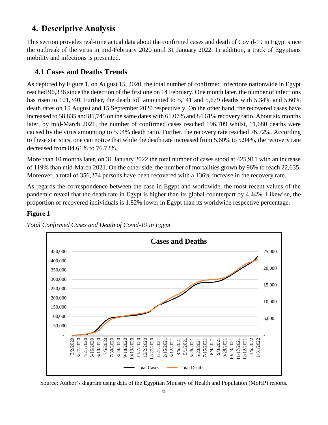# **4. Descriptive Analysis**

This section provides real-time actual data about the confirmed cases and death of Covid-19 in Egypt since the outbreak of the virus in mid-February 2020 until 31 January 2022. In addition, a track of Egyptians mobility and infections is presented.

## **4.1 Cases and Deaths Trends**

As depicted by Figure 1, on August 15, 2020, the total number of confirmed infections nationwide in Egypt reached 96,336 since the detection of the first one on 14 February. One month later, the number of infections has risen to 101,340. Further, the death toll amounted to 5,141 and 5,679 deaths with 5.34% and 5.60% death rates on 15 August and 15 September 2020 respectively. On the other hand, the recovered cases have increased to 58,835 and 85,745 on the same dates with 61.07% and 84.61% recovery ratio. About six months later, by mid-March 2021, the number of confirmed cases reached 196,709 whilst, 11,680 deaths were caused by the virus amounting to 5.94% death ratio. Further, the recovery rate reached 76.72%. According to these statistics, one can notice that while the death rate increased from 5.60% to 5.94%, the recovery rate decreased from 84.61% to 76.72%.

More than 10 months later, on 31 January 2022 the total number of cases stood at 425,911 with an increase of 119% than mid-March 2021. On the other side, the number of mortalities grown by 96% to reach 22,635. Moreover, a total of 356,274 persons have been recovered with a 136% increase in the recovery rate.

As regards the correspondence between the case in Egypt and worldwide, the most recent values of the pandemic reveal that the death rate in Egypt is higher than its global counterpart by 4.44%. Likewise, the proportion of recovered individuals is 1.82% lower in Egypt than its worldwide respective percentage.



#### **Figure 1**

*Total Confirmed Cases and Death of Covid-19 in Egypt*

Source: Author's diagram using data of the Egyptian Ministry of Health and Population (MoHP) reports.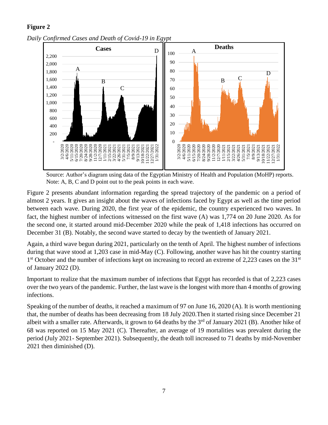#### **Figure 2**



*Daily Confirmed Cases and Death of Covid-19 in Egypt*

Source: Author's diagram using data of the Egyptian Ministry of Health and Population (MoHP) reports. Note: A, B, C and D point out to the peak points in each wave.

Figure 2 presents abundant information regarding the spread trajectory of the pandemic on a period of almost 2 years. It gives an insight about the waves of infections faced by Egypt as well as the time period between each wave. During 2020, the first year of the epidemic, the country experienced two waves. In fact, the highest number of infections witnessed on the first wave (A) was 1,774 on 20 June 2020. As for the second one, it started around mid-December 2020 while the peak of 1,418 infections has occurred on December 31 (B). Notably, the second wave started to decay by the twentieth of January 2021.

Again, a third wave begun during 2021, particularly on the tenth of April. The highest number of infections during that wave stood at 1,203 case in mid-May (C). Following, another wave has hit the country starting 1<sup>st</sup> October and the number of infections kept on increasing to record an extreme of 2,223 cases on the 31<sup>st</sup> of January 2022 (D).

Important to realize that the maximum number of infections that Egypt has recorded is that of 2,223 cases over the two years of the pandemic. Further, the last wave is the longest with more than 4 months of growing infections.

Speaking of the number of deaths, it reached a maximum of 97 on June 16, 2020 (A). It is worth mentioning that, the number of deaths has been decreasing from 18 July 2020.Then it started rising since December 21 albeit with a smaller rate. Afterwards, it grown to 64 deaths by the  $3<sup>rd</sup>$  of January 2021 (B). Another hike of 68 was reported on 15 May 2021 (C). Thereafter, an average of 19 mortalities was prevalent during the period (July 2021- September 2021). Subsequently, the death toll increased to 71 deaths by mid-November 2021 then diminished (D).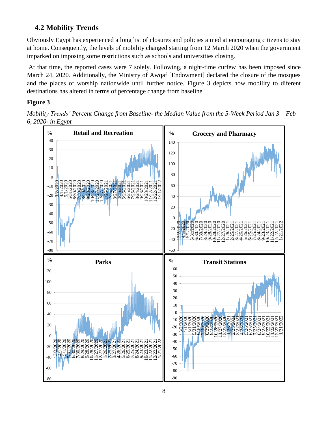# **4.2 Mobility Trends**

Obviously Egypt has experienced a long list of closures and policies aimed at encouraging citizens to stay at home. Consequently, the levels of mobility changed starting from 12 March 2020 when the government imparked on imposing some restrictions such as schools and universities closing.

At that time, the reported cases were 7 solely. Following, a night-time curfew has been imposed since March 24, 2020. Additionally, the Ministry of Awqaf [Endowment] declared the closure of the mosques and the places of worship nationwide until further notice. Figure 3 depicts how mobility to diferent destinations has altered in terms of percentage change from baseline.

### **Figure 3**

*Mobility Trends' Percent Change from Baseline- the Median Value from the 5-Week Period Jan 3 – Feb 6, 2020- in Egypt*

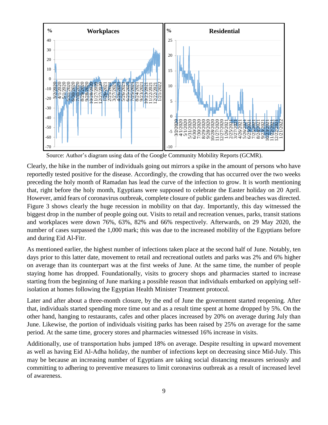

Source: Author's diagram using data of the Google Community Mobility Reports (GCMR).

Clearly, the hike in the number of individuals going out mirrors a spike in the amount of persons who have reportedly tested positive for the disease. Accordingly, the crowding that has occurred over the two weeks preceding the holy month of Ramadan has lead the curve of the infection to grow. It is worth mentioning that, right before the holy month, Egyptians were supposed to celebrate the Easter holiday on 20 April. However, amid fears of coronavirus outbreak, complete closure of public gardens and beaches was directed. Figure 3 shows clearly the huge recession in mobility on that day. Importantly, this day witnessed the biggest drop in the number of people going out. Visits to retail and recreation venues, parks, transit stations and workplaces were down 76%, 63%, 82% and 66% respectively. Afterwards, on 29 May 2020, the number of cases surpassed the 1,000 mark; this was due to the increased mobility of the Egyptians before and during Eid Al-Fitr.

As mentioned earlier, the highest number of infections taken place at the second half of June. Notably, ten days prior to this latter date, movement to retail and recreational outlets and parks was 2% and 6% higher on average than its counterpart was at the first weeks of June. At the same time, the number of people staying home has dropped. Foundationally, visits to grocery shops and pharmacies started to increase starting from the beginning of June marking a possible reason that individuals embarked on applying selfisolation at homes following the Egyptian Health Minister Treatment protocol.

Later and after about a three-month closure, by the end of June the government started reopening. After that, individuals started spending more time out and as a result time spent at home dropped by 5%. On the other hand, hanging to restaurants, cafes and other places increased by 20% on average during July than June. Likewise, the portion of individuals visiting parks has been raised by 25% on average for the same period. At the same time, grocery stores and pharmacies witnessed 16% increase in visits.

Additionally, use of transportation hubs jumped 18% on average. Despite resulting in upward movement as well as having Eid Al-Adha holiday, the number of infections kept on decreasing since Mid-July. This may be because an increasing number of Egyptians are taking social distancing measures seriously and committing to adhering to preventive measures to limit coronavirus outbreak as a result of increased level of awareness.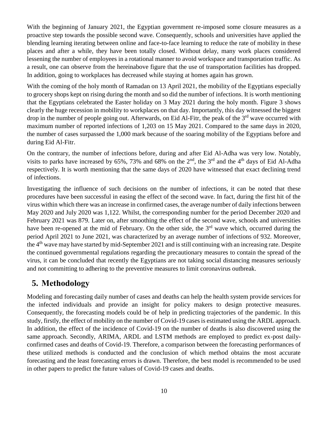With the beginning of January 2021, the Egyptian government re-imposed some closure measures as a proactive step towards the possible second wave. Consequently, schools and universities have applied the blending learning iterating between online and face-to-face learning to reduce the rate of mobility in these places and after a while, they have been totally closed. Without delay, many work places considered lessening the number of employees in a rotational manner to avoid workspace and transportation traffic. As a result, one can observe from the hereinabove figure that the use of transportation facilities has dropped. In addition, going to workplaces has decreased while staying at homes again has grown.

With the coming of the holy month of Ramadan on 13 April 2021, the mobility of the Egyptians especially to grocery shops kept on rising during the month and so did the number of infections. It is worth mentioning that the Egyptians celebrated the Easter holiday on 3 May 2021 during the holy month. Figure 3 shows clearly the huge recession in mobility to workplaces on that day. Importantly, this day witnessed the biggest drop in the number of people going out. Afterwards, on Eid Al-Fitr, the peak of the 3<sup>rd</sup> wave occurred with maximum number of reported infections of 1,203 on 15 May 2021. Compared to the same days in 2020, the number of cases surpassed the 1,000 mark because of the soaring mobility of the Egyptians before and during Eid Al-Fitr.

On the contrary, the number of infections before, during and after Eid Al-Adha was very low. Notably, visits to parks have increased by 65%, 73% and 68% on the  $2<sup>nd</sup>$ , the  $3<sup>rd</sup>$  and the 4<sup>th</sup> days of Eid Al-Adha respectively. It is worth mentioning that the same days of 2020 have witnessed that exact declining trend of infections.

Investigating the influence of such decisions on the number of infections, it can be noted that these procedures have been successful in easing the effect of the second wave. In fact, during the first hit of the virus within which there was an increase in confirmed cases, the average number of daily infections between May 2020 and July 2020 was 1,122. Whilst, the corresponding number for the period December 2020 and February 2021 was 879. Later on, after smoothing the effect of the second wave, schools and universities have been re-opened at the mid of February. On the other side, the 3<sup>rd</sup> wave which, occurred during the period April 2021 to June 2021, was characterized by an average number of infections of 932. Moreover, the 4th wave may have started by mid-September 2021 and is still continuing with an increasing rate. Despite the continued governmental regulations regarding the precautionary measures to contain the spread of the virus, it can be concluded that recently the Egyptians are not taking social distancing measures seriously and not committing to adhering to the preventive measures to limit coronavirus outbreak.

# **5. Methodology**

Modeling and forecasting daily number of cases and deaths can help the health system provide services for the infected individuals and provide an insight for policy makers to design protective measures. Consequently, the forecasting models could be of help in predicting trajectories of the pandemic. In this study, firstly, the effect of mobility on the number of Covid-19 cases is estimated using the ARDL approach. In addition, the effect of the incidence of Covid-19 on the number of deaths is also discovered using the same approach. Secondly, ARIMA, ARDL and LSTM methods are employed to predict ex-post dailyconfirmed cases and deaths of Covid-19. Therefore, a comparison between the forecasting performances of these utilized methods is conducted and the conclusion of which method obtains the most accurate forecasting and the least forecasting errors is drawn. Therefore, the best model is recommended to be used in other papers to predict the future values of Covid-19 cases and deaths.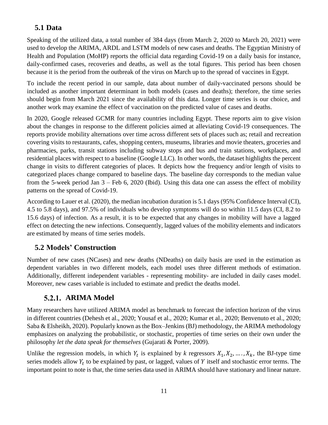# **5.1 Data**

Speaking of the utilized data, a total number of 384 days (from March 2, 2020 to March 20, 2021) were used to develop the ARIMA, ARDL and LSTM models of new cases and deaths. The Egyptian Ministry of Health and Population (MoHP) reports the official data regarding Covid-19 on a daily basis for instance, daily-confirmed cases, recoveries and deaths, as well as the total figures. This period has been chosen because it is the period from the outbreak of the virus on March up to the spread of vaccines in Egypt.

To include the recent period in our sample, data about number of daily-vaccinated persons should be included as another important determinant in both models (cases and deaths); therefore, the time series should begin from March 2021 since the availability of this data. Longer time series is our choice, and another work may examine the effect of vaccination on the predicted value of cases and deaths.

In 2020, Google released GCMR for many countries including Egypt. These reports aim to give vision about the changes in response to the different policies aimed at alleviating Covid-19 consequences. The reports provide mobility alternations over time across different sets of places such as; retail and recreation covering visits to restaurants, cafes, shopping centers, museums, libraries and movie theaters, groceries and pharmacies, parks, transit stations including subway stops and bus and train stations, workplaces, and residential places with respect to a baseline (Google LLC). In other words, the dataset highlights the percent change in visits to different categories of places. It depicts how the frequency and/or length of visits to categorized places change compared to baseline days. The baseline day corresponds to the median value from the 5-week period Jan 3 – Feb 6, 2020 (Ibid). Using this data one can assess the effect of mobility patterns on the spread of Covid-19.

According to Lauer et al. (2020), the median incubation duration is 5.1 days (95% Confidence Interval (CI), 4.5 to 5.8 days), and 97.5% of individuals who develop symptoms will do so within 11.5 days (CI, 8.2 to 15.6 days) of infection. As a result, it is to be expected that any changes in mobility will have a lagged effect on detecting the new infections. Consequently, lagged values of the mobility elements and indicators are estimated by means of time series models.

## **5.2 Models' Construction**

Number of new cases (NCases) and new deaths (NDeaths) on daily basis are used in the estimation as dependent variables in two different models, each model uses three different methods of estimation. Additionally, different independent variables - representing mobility- are included in daily cases model. Moreover, new cases variable is included to estimate and predict the deaths model.

## 5.2.1. ARIMA Model

Many researchers have utilized ARIMA model as benchmark to forecast the infection horizon of the virus in different countries (Dehesh et al., 2020; Yousaf et al., 2020; Kumar et al., 2020; Benvenuto et al., 2020; Saba & Elsheikh, 2020). Popularly known as the Box–Jenkins (BJ) methodology, the ARIMA methodology emphasizes on analyzing the probabilistic, or stochastic, properties of time series on their own under the philosophy *let the data speak for themselves* (Gujarati & Porter, 2009).

Unlike the regression models, in which  $Y_t$  is explained by *k* regressors  $X_1, X_2, ..., X_k$ , the BJ-type time series models allow  $Y_t$  to be explained by past, or lagged, values of  $Y$  itself and stochastic error terms. The important point to note is that, the time series data used in ARIMA should have stationary and linear nature.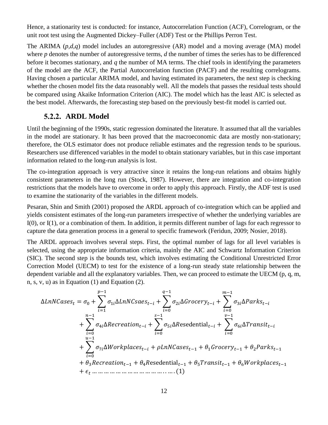Hence, a stationarity test is conducted: for instance, Autocorrelation Function (ACF), Correlogram, or the unit root test using the Augmented Dickey–Fuller (ADF) Test or the Phillips Perron Test.

The ARIMA (*p,d,q*) model includes an autoregressive (AR) model and a moving average (MA) model where *p* denotes the number of autoregressive terms, *d* the number of times the series has to be differenced before it becomes stationary, and *q* the number of MA terms. The chief tools in identifying the parameters of the model are the ACF, the Partial Autocorrelation function (PACF) and the resulting correlograms. Having chosen a particular ARIMA model, and having estimated its parameters, the next step is checking whether the chosen model fits the data reasonably well. All the models that passes the residual tests should be compared using Akaike Information Criterion (AIC). The model which has the least AIC is selected as the best model. Afterwards, the forecasting step based on the previously best-fit model is carried out.

#### **ARDL Model**

Until the beginning of the 1990s, static regression dominated the literature. It assumed that all the variables in the model are stationary. It has been proved that the macroeconomic data are mostly non-stationary; therefore, the OLS estimator does not produce reliable estimates and the regression tends to be spurious. Researchers use differenced variables in the model to obtain stationary variables, but in this case important information related to the long-run analysis is lost.

The co-integration approach is very attractive since it retains the long-run relations and obtains highly consistent parameters in the long run (Stock, 1987). However, there are integration and co-integration restrictions that the models have to overcome in order to apply this approach. Firstly, the ADF test is used to examine the stationarity of the variables in the different models.

Pesaran, Shin and Smith (2001) proposed the ARDL approach of co-integration which can be applied and yields consistent estimates of the long-run parameters irrespective of whether the underlying variables are I(0), or I(1), or a combination of them. In addition, it permits different number of lags for each regressor to capture the data generation process in a general to specific framework (Feridun, 2009; Nosier, 2018).

The ARDL approach involves several steps. First, the optimal number of lags for all level variables is selected, using the appropriate information criteria, mainly the AIC and Schwartz Information Criterion (SIC). The second step is the bounds test, which involves estimating the Conditional Unrestricted Error Correction Model (UECM) to test for the existence of a long-run steady state relationship between the dependent variable and all the explanatory variables. Then, we can proceed to estimate the UECM (p, q, m, n, s, v, u) as in Equation (1) and Equation (2).

∆ = <sup>0</sup> + ∑1∆− −1 =1 + ∑2∆− −1 =0 + ∑ 3∆− −1 =0 + ∑4∆− −1 =0 + ∑5∆esedential− −1 =0 + ∑6∆− −1 =0 + ∑7∆− −1 =0 + −1 + 1−1 + 2−1 + 3−1 + 4esedential−1 + 5−1 + 6−1 + … … … … … … … … … … … … . . … . (1)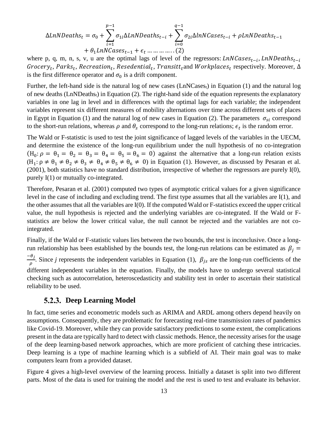$$
\Delta LnNDeaths_t = \sigma_0 + \sum_{i=1}^{p-1} \sigma_{1i} \Delta LnNDeaths_{t-i} + \sum_{i=0}^{q-1} \sigma_{2i} \Delta lnNCases_{t-i} + \rho LnNDeaths_{t-1} + \theta_1 LnNCases_{t-1} + \epsilon_t \dots \dots \dots \dots (2)
$$

where p, q, m, n, s, v, u are the optimal lags of level of the regressors:  $LnNCases_{t-i}$ ,  $LnNDeaths_{t-i}$  ${\it Grocery}_t, {\it Parks}_t, {\it Recreaction}_t, {\it Research}_t, {\it Transitt}_t$ and  ${\it Workplaces}_t$  respectively. Moreover,  $\Delta$ is the first difference operator and  $\sigma_0$  is a drift component.

Further, the left-hand side is the natural log of new cases (LnNCasest) in Equation (1) and the natural log of new deaths  $(LnNDeaths<sub>t</sub>)$  in Equation (2). The right-hand side of the equation represents the explanatory variables in one lag in level and in differences with the optimal lags for each variable; the independent variables represent six different measures of mobility alternations over time across different sets of places in Egypt in Equation (1) and the natural log of new cases in Equation (2). The parameters  $\sigma_{si}$  correspond to the short-run relations, whereas  $\rho$  and  $\theta_s$  correspond to the long-run relations;  $\epsilon_t$  is the random error.

The Wald or F-statistic is used to test the joint significance of lagged levels of the variables in the UECM, and determine the existence of the long-run equilibrium under the null hypothesis of no co-integration  $(H_0: \rho = \theta_1 = \theta_2 = \theta_3 = \theta_4 = \theta_5 = \theta_6 = 0)$  against the alternative that a long-run relation exists  $(H_1: \rho \neq \theta_1 \neq \theta_2 \neq \theta_3 \neq \theta_4 \neq \theta_5 \neq \theta_6 \neq 0)$  in Equation (1). However, as discussed by Pesaran et al. (2001), both statistics have no standard distribution, irrespective of whether the regressors are purely I(0), purely I(1) or mutually co-integrated.

Therefore, Pesaran et al. (2001) computed two types of asymptotic critical values for a given significance level in the case of including and excluding trend. The first type assumes that all the variables are I(1), and the other assumes that all the variables are I(0). If the computed Wald or F-statistics exceed the upper critical value, the null hypothesis is rejected and the underlying variables are co-integrated. If the Wald or Fstatistics are below the lower critical value, the null cannot be rejected and the variables are not cointegrated.

Finally, if the Wald or F-statistic values lies between the two bounds, the test is inconclusive. Once a longrun relationship has been established by the bounds test, the long-run relations can be estimated as  $\beta_i$  =  $-\theta_j$  $\frac{\partial f}{\partial \rho}$ . Since *j* represents the independent variables in Equation (1),  $\beta_{js}$  are the long-run coefficients of the different independent variables in the equation. Finally, the models have to undergo several statistical checking such as autocorrelation, heteroscedasticity and stability test in order to ascertain their statistical reliability to be used.

#### **Deep Learning Model**

In fact, time series and econometric models such as ARIMA and ARDL among others depend heavily on assumptions. Consequently, they are problematic for forecasting real-time transmission rates of pandemics like Covid-19. Moreover, while they can provide satisfactory predictions to some extent, the complications present in the data are typically hard to detect with classic methods. Hence, the necessity arises for the usage of the deep learning-based network approaches, which are more proficient of catching these intricacies. Deep learning is a type of machine learning which is a subfield of AI. Their main goal was to make computers learn from a provided dataset.

[Figure](#page-13-0) 4 gives a high-level overview of the learning process. Initially a dataset is split into two different parts. Most of the data is used for training the model and the rest is used to test and evaluate its behavior.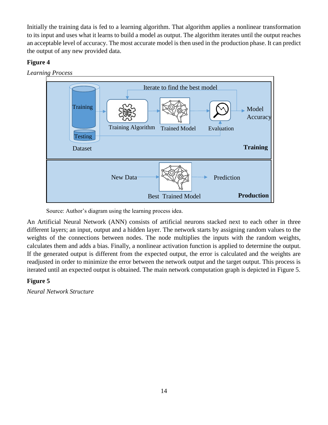Initially the training data is fed to a learning algorithm. That algorithm applies a nonlinear transformation to its input and uses what it learns to build a model as output. The algorithm iterates until the output reaches an acceptable level of accuracy. The most accurate model is then used in the production phase. It can predict the output of any new provided data.

#### <span id="page-13-0"></span>**Figure 4**





Source: Author's diagram using the learning process idea.

An Artificial Neural Network (ANN) consists of artificial neurons stacked next to each other in three different layers; an input, output and a hidden layer. The network starts by assigning random values to the weights of the connections between nodes. The node multiplies the inputs with the random weights, calculates them and adds a bias. Finally, a nonlinear activation function is applied to determine the output. If the generated output is different from the expected output, the error is calculated and the weights are readjusted in order to minimize the error between the network output and the target output. This process is iterated until an expected output is obtained. The main network computation graph is depicted in [Figure](#page-13-1) 5.

#### <span id="page-13-1"></span>**Figure 5**

*Neural Network Structure*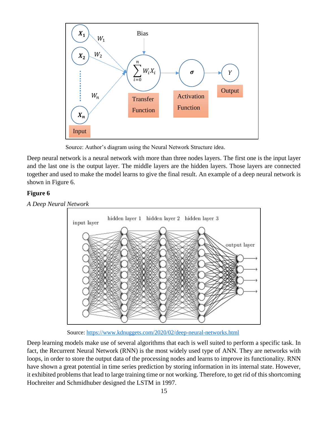

Source: Author's diagram using the Neural Network Structure idea.

Deep neural network is a neural network with more than three nodes layers. The first one is the input layer and the last one is the output layer. The middle layers are the hidden layers. Those layers are connected together and used to make the model learns to give the final result. An example of a deep neural network is shown in [Figure 6](#page-14-0).

#### <span id="page-14-0"></span>**Figure 6**

*A Deep Neural Network*



Source:<https://www.kdnuggets.com/2020/02/deep-neural-networks.html>

Deep learning models make use of several algorithms that each is well suited to perform a specific task. In fact, the Recurrent Neural Network (RNN) is the most widely used type of ANN. They are networks with loops, in order to store the output data of the processing nodes and learns to improve its functionality. RNN have shown a great potential in time series prediction by storing information in its internal state. However, it exhibited problems that lead to large training time or not working. Therefore, to get rid of this shortcoming Hochreiter and Schmidhuber designed the LSTM in 1997.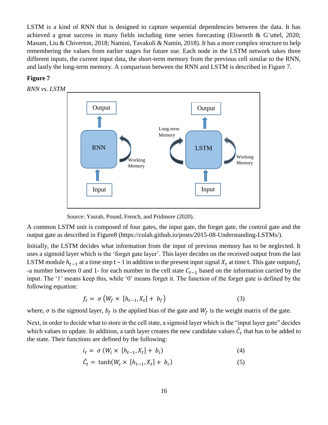LSTM is a kind of RNN that is designed to capture sequential dependencies between the data. It has achieved a great success in many fields including time series forecasting (Elsworth & G¨uttel, 2020; Masum, Liu & Chiverton, 2018; Namini, Tavakoli & Namin, 2018). It has a more complex structure to help remembering the values from earlier stages for future use. Each node in the LSTM network takes three different inputs, the current input data, the short-term memory from the previous cell similar to the RNN, and lastly the long-term memory. A comparison between the RNN and LSTM is described in [Figure 7](#page-15-0).

#### <span id="page-15-0"></span>**Figure 7**



Source: Yasrab, Pound, French, and Pridmore (2020).

A common LSTM unit is composed of four gates, the input gate, the forget gate, the control gate and the output gate as described in [Figure8](#page-16-0) (https://colah.github.io/posts/2015-08-Understanding-LSTMs/).

Initially, the LSTM decides what information from the input of previous memory has to be neglected. It uses a sigmoid layer which is the 'forget gate layer'. This layer decides on the received output from the last LSTM module  $h_{t-1}$  at a time step t – 1 in addition to the present input signal  $X_t$  at time t. This gate outputs  $f_t$ -a number between 0 and 1- for each number in the cell state  $C_{t-1}$  based on the information carried by the input. The '1' means keep this, while '0' means forget it. The function of the forget gate is defined by the following equation:

$$
f_t = \sigma \left( W_f \times [h_{t-1}, X_t] + b_f \right) \tag{3}
$$

where,  $\sigma$  is the sigmoid layer,  $b_f$  is the applied bias of the gate and  $W_f$  is the weight matrix of the gate.

Next, in order to decide what to store in the cell state, a sigmoid layer which is the "input layer gate" decides which values to update. In addition, a tanh layer creates the new candidate values  $\tilde{C}_t$  that has to be added to the state. Their functions are defined by the following:

$$
i_t = \sigma \left( W_i \times \left[ h_{t-1}, X_t \right] + b_i \right) \tag{4}
$$

$$
\tilde{C}_t = \tanh(W_c \times [h_{t-1}, X_t] + b_c) \tag{5}
$$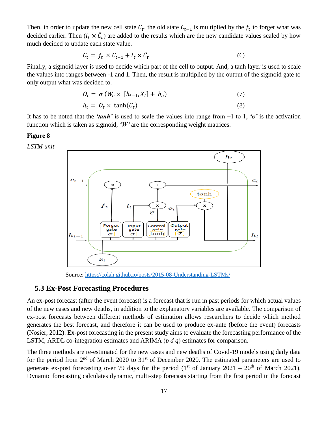Then, in order to update the new cell state  $C_t$ , the old state  $C_{t-1}$  is multiplied by the  $f_t$  to forget what was decided earlier. Then  $(i_t \times \tilde{C}_t)$  are added to the results which are the new candidate values scaled by how much decided to update each state value.

$$
C_t = f_t \times C_{t-1} + i_t \times \tilde{C}_t \tag{6}
$$

Finally, a sigmoid layer is used to decide which part of the cell to output. And, a tanh layer is used to scale the values into ranges between -1 and 1. Then, the result is multiplied by the output of the sigmoid gate to only output what was decided to.

$$
O_t = \sigma \left( W_o \times \left[ h_{t-1}, X_t \right] + b_o \right) \tag{7}
$$

$$
h_t = O_t \times \tanh(C_t) \tag{8}
$$

It has to be noted that the *'tanh'* is used to scale the values into range from −1 to 1, *'σ'* is the activation function which is taken as sigmoid, *'W'* are the corresponding weight matrices.

#### <span id="page-16-0"></span>**Figure 8**

*LSTM unit*



Source: <https://colah.github.io/posts/2015-08-Understanding-LSTMs/>

#### **5.3 Ex-Post Forecasting Procedures**

An ex-post forecast (after the event forecast) is a forecast that is run in past periods for which actual values of the new cases and new deaths, in addition to the explanatory variables are available. The comparison of ex-post forecasts between different methods of estimation allows researchers to decide which method generates the best forecast, and therefore it can be used to produce ex-ante (before the event) forecasts (Nosier, 2012). Ex-post forecasting in the present study aims to evaluate the forecasting performance of the LSTM, ARDL co-integration estimates and ARIMA (*p d q*) estimates for comparison.

The three methods are re-estimated for the new cases and new deaths of Covid-19 models using daily data for the period from 2<sup>nd</sup> of March 2020 to 31<sup>st</sup> of December 2020. The estimated parameters are used to generate ex-post forecasting over 79 days for the period  $(1<sup>st</sup>$  of January 2021 – 20<sup>th</sup> of March 2021). Dynamic forecasting calculates dynamic, multi-step forecasts starting from the first period in the forecast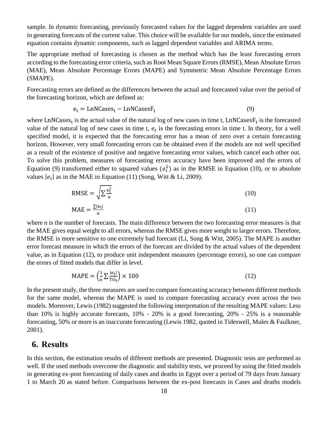sample. In dynamic forecasting, previously forecasted values for the lagged dependent variables are used in generating forecasts of the current value. This choice will be available for our models, since the estimated equation contains dynamic components, such as lagged dependent variables and ARIMA terms.

The appropriate method of forecasting is chosen as the method which has the least forecasting errors according to the forecasting error criteria, such as Root Mean Square Errors (RMSE), Mean Absolute Errors (MAE), Mean Absolute Percentage Errors (MAPE) and Symmetric Mean Absolute Percentage Errors (SMAPE).

Forecasting errors are defined as the differences between the actual and forecasted value over the period of the forecasting horizon, which are defined as:

$$
e_t = LnNCases_t - LnNCasesF_t
$$
 (9)

where LnNCases<sub>t</sub> is the actual value of the natural log of new cases in time t, LnNCases $F_t$  is the forecasted value of the natural log of new cases in time t,  $e_t$  is the forecasting errors in time t. In theory, for a well specified model, it is expected that the forecasting error has a mean of zero over a certain forecasting horizon. However, very small forecasting errors can be obtained even if the models are not well specified as a result of the existence of positive and negative forecasting error values, which cancel each other out. To solve this problem, measures of forecasting errors accuracy have been improved and the errors of Equation (9) transformed either to squared values  $(e_t^2)$  as in the RMSE in Equation (10), or to absolute values  $|e_t|$  as in the MAE in Equation (11) (Song, Witt & Li, 2009).

$$
RMSE = \sqrt{\sum \frac{e_t^2}{n}}
$$
 (10)

$$
MAE = \frac{\Sigma |e_t|}{n} \tag{11}
$$

where n is the number of forecasts. The main difference between the two forecasting error measures is that the MAE gives equal weight to all errors, whereas the RMSE gives more weight to larger errors. Therefore, the RMSE is more sensitive to one extremely bad forecast (Li, Song & Witt, 2005). The MAPE is another error forecast measure in which the errors of the forecast are divided by the actual values of the dependent value, as in Equation (12), to produce unit independent measures (percentage errors), so one can compare the errors of fitted models that differ in level.

$$
MAPE = \left(\frac{1}{n}\sum \frac{|e_t|}{T O_t}\right) \times 100\tag{12}
$$

In the present study, the three measures are used to compare forecasting accuracy between different methods for the same model, whereas the MAPE is used to compare forecasting accuracy even across the two models. Moreover, Lewis (1982) suggested the following interpretation of the resulting MAPE values: Less than 10% is highly accurate forecasts, 10% - 20% is a good forecasting, 20% - 25% is a reasonable forecasting, 50% or more is an inaccurate forecasting (Lewis 1982, quoted in Tideswell, Mules & Faulkner, 2001).

## **6. Results**

In this section, the estimation results of different methods are presented. Diagnostic tests are performed as well. If the used methods overcome the diagnostic and stability tests, we proceed by using the fitted models in generating ex-post forecasting of daily cases and deaths in Egypt over a period of 79 days from January 1 to March 20 as stated before. Comparisons between the ex-post forecasts in Cases and deaths models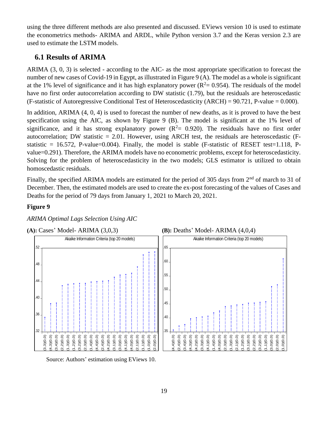using the three different methods are also presented and discussed. EViews version 10 is used to estimate the econometrics methods- ARIMA and ARDL, while Python version 3.7 and the Keras version 2.3 are used to estimate the LSTM models.

## **6.1 Results of ARIMA**

ARIMA (3, 0, 3) is selected - according to the AIC- as the most appropriate specification to forecast the number of new cases of Covid-19 in Egypt, as illustrated in Figure 9 (A). The model as a whole is significant at the 1% level of significance and it has high explanatory power ( $R^2 = 0.954$ ). The residuals of the model have no first order autocorrelation according to DW statistic (1.79), but the residuals are heteroscedastic (F-statistic of Autoregressive Conditional Test of Heteroscedasticity (ARCH) =  $90.721$ , P-value = 0.000).

In addition, ARIMA (4, 0, 4) is used to forecast the number of new deaths, as it is proved to have the best specification using the AIC, as shown by Figure 9 (B). The model is significant at the 1% level of significance, and it has strong explanatory power  $(R^2 = 0.920)$ . The residuals have no first order autocorrelation; DW statistic  $= 2.01$ . However, using ARCH test, the residuals are heteroscedastic (Fstatistic = 16.572, P-value=0.004). Finally, the model is stable (F-statistic of RESET test=1.118, Pvalue=0.291). Therefore, the ARIMA models have no econometric problems, except for heteroscedasticity. Solving for the problem of heteroscedasticity in the two models; GLS estimator is utilized to obtain homoscedastic residuals.

Finally, the specified ARIMA models are estimated for the period of 305 days from 2<sup>nd</sup> of march to 31 of December. Then, the estimated models are used to create the ex-post forecasting of the values of Cases and Deaths for the period of 79 days from January 1, 2021 to March 20, 2021.

#### **Figure 9**

*ARIMA Optimal Lags Selection Using AIC*









Source: Authors' estimation using EViews 10.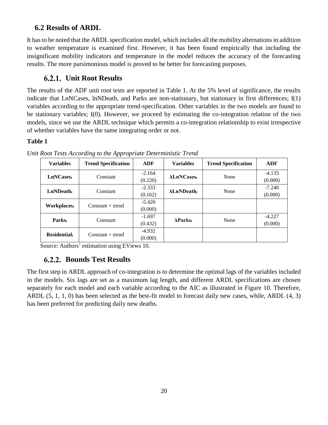## **6.2 Results of ARDL**

It has to be noted that the ARDL specification model, which includes all the mobility alternations in addition to weather temperature is examined first. However, it has been found empirically that including the insignificant mobility indicators and temperature in the model reduces the accuracy of the forecasting results. The more parsimonious model is proved to be better for forecasting purposes.

## **Unit Root Results**

The results of the ADF unit root tests are reported in Table 1. At the 5% level of significance, the results indicate that LnNCases, lnNDeath, and Parks are non-stationary, but stationary in first differences; I(1) variables according to the appropriate trend-specification. Other variables in the two models are found to be stationary variables; I(0). However, we proceed by estimating the co-integration relation of the two models, since we use the ARDL technique which permits a co-integration relationship to exist irrespective of whether variables have the same integrating order or not.

#### **Table 1**

| <b>Variables</b>      | <b>Trend Specification</b> | ADF      | <b>Variables</b> | <b>Trend Specification</b> | ADF      |
|-----------------------|----------------------------|----------|------------------|----------------------------|----------|
| LnNCases <sub>t</sub> | Constant                   | $-2.164$ | <b>ALnNCases</b> | None                       | $-4.135$ |
|                       |                            | (0.220)  |                  |                            | (0.000)  |
| $LnND$ eath           | Constant                   | $-2.333$ | <b>ALnNDeath</b> | None                       | $-7.240$ |
|                       |                            | (0.162)  |                  |                            | (0.000)  |
| Workplacest           | $Constant + trend$         | $-5.420$ |                  |                            |          |
|                       |                            | (0.000)  |                  |                            |          |
| Parks <sub>t</sub>    | Constant                   | $-1.697$ |                  | None                       | $-4.227$ |
|                       |                            | (0.432)  | <b>AParks</b>    |                            | (0.000)  |
| <b>Residential</b>    | $Constant + trend$         | $-4.932$ |                  |                            |          |
|                       |                            | (0.000)  |                  |                            |          |

*Unit Root Tests According to the Appropriate Deterministic Trend*

Source: Authors' estimation using EViews 10.

# **Bounds Test Results**

The first step in ARDL approach of co-integration is to determine the optimal lags of the variables included in the models. Six lags are set as a maximum lag length, and different ARDL specifications are chosen separately for each model and each variable according to the AIC as illustrated in Figure 10. Therefore, ARDL (5, 1, 1, 0) has been selected as the best-fit model to forecast daily new cases, while, ARDL (4, 3) has been preferred for predicting daily new deaths.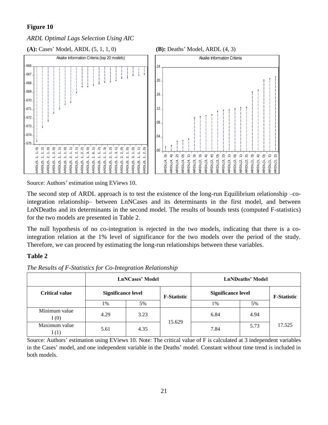#### **Figure 10**

*ARDL Optimal Lags Selection Using AIC*

**(A):** Cases' Model, ARDL (5, 1, 1, 0) **(B):** Deaths' Model, ARDL (4, 3)





Source: Authors' estimation using EViews 10.

The second step of ARDL approach is to test the existence of the long-run Equilibrium relationship –cointegration relationship– between LnNCases and its determinants in the first model, and between LnNDeaths and its determinants in the second model. The results of bounds tests (computed F-statistics) for the two models are presented in Table 2.

The null hypothesis of no co-integration is rejected in the two models, indicating that there is a cointegration relation at the 1% level of significance for the two models over the period of the study. Therefore, we can proceed by estimating the long-run relationships between these variables.

#### **Table 2**

| The Results of F-Statistics for Co-Integration Relationship |  |  |
|-------------------------------------------------------------|--|--|
|                                                             |  |  |

|                       |                           | <b>LnNCases' Model</b> |                    | <b>LnNDeaths' Model</b>   |      |                    |  |
|-----------------------|---------------------------|------------------------|--------------------|---------------------------|------|--------------------|--|
| <b>Critical value</b> | <b>Significance level</b> |                        | <b>F-Statistic</b> | <b>Significance level</b> |      | <b>F-Statistic</b> |  |
|                       | 1%                        | 5%                     |                    | 1%                        | 5%   |                    |  |
| Minimum value<br>I(0) | 4.29                      | 3.23                   | 15.629             | 6.84                      | 4.94 | 17.525             |  |
| Maximum value<br>(1)  | 5.61                      | 4.35                   |                    | 7.84                      | 5.73 |                    |  |

Source: Authors' estimation using EViews 10. Note: The critical value of F is calculated at 3 independent variables in the Cases' model, and one independent variable in the Deaths' model. Constant without time trend is included in both models.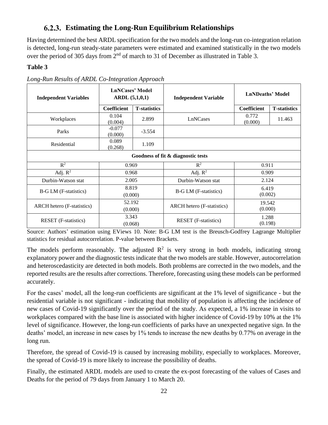## **Estimating the Long-Run Equilibrium Relationships**

Having determined the best ARDL specification for the two models and the long-run co-integration relation is detected, long-run steady-state parameters were estimated and examined statistically in the two models over the period of 305 days from 2<sup>nd</sup> of march to 31 of December as illustrated in Table 3.

#### **Table 3**

| <b>Independent Variables</b>                     | <b>LnNCases' Model</b><br>ARDL(5,1,0,1) |                              | <b>Independent Variable</b>                     | <b>LnNDeaths' Model</b> |                      |  |  |
|--------------------------------------------------|-----------------------------------------|------------------------------|-------------------------------------------------|-------------------------|----------------------|--|--|
|                                                  | Coefficient                             | <b>T</b> -statistics         |                                                 | <b>Coefficient</b>      | <b>T</b> -statistics |  |  |
| Workplaces                                       | 0.104<br>(0.004)                        | 2.899                        | LnNCases                                        | 0.772<br>(0.000)        | 11.463               |  |  |
| Parks                                            | $-0.077$<br>(0.000)                     | $-3.554$                     |                                                 |                         |                      |  |  |
| Residential                                      | 0.089<br>(0.268)                        | 1.109                        |                                                 |                         |                      |  |  |
| Goodness of fit & diagnostic tests               |                                         |                              |                                                 |                         |                      |  |  |
| $R^2$<br>0.969                                   |                                         |                              | $R^2$                                           | 0.911                   |                      |  |  |
| Adj. $R^2$                                       | 0.968                                   |                              | Adj. $R^2$                                      | 0.909                   |                      |  |  |
| Durbin-Watson stat                               | 2.005                                   |                              | Durbin-Watson stat                              | 2.124                   |                      |  |  |
| 8.819<br><b>B-G LM</b> (F-statistics)<br>(0.000) |                                         | <b>B-G LM</b> (F-statistics) | 6.419<br>(0.002)                                |                         |                      |  |  |
| <b>ARCH</b> hetero (F-statistics)                | 52.192<br>(0.000)                       |                              | ARCH hetero (F-statistics)                      | 19.542<br>(0.000)       |                      |  |  |
| <b>RESET</b> (F-statistics)                      | 3.343<br>(0.068)                        |                              | 1.288<br><b>RESET</b> (F-statistics)<br>(0.198) |                         |                      |  |  |

*Long-Run Results of ARDL Co-Integration Approach* 

Source: Authors' estimation using EViews 10. Note: B-G LM test is the Breusch-Godfrey Lagrange Multiplier statistics for residual autocorrelation. P-value between Brackets.

The models perform reasonably. The adjusted  $\mathbb{R}^2$  is very strong in both models, indicating strong explanatory power and the diagnostic tests indicate that the two models are stable. However, autocorrelation and heteroscedasticity are detected in both models. Both problems are corrected in the two models, and the reported results are the results after corrections. Therefore, forecasting using these models can be performed accurately.

For the cases' model, all the long-run coefficients are significant at the 1% level of significance - but the residential variable is not significant - indicating that mobility of population is affecting the incidence of new cases of Covid-19 significantly over the period of the study. As expected, a 1% increase in visits to workplaces compared with the base line is associated with higher incidence of Covid-19 by 10% at the 1% level of significance. However, the long-run coefficients of parks have an unexpected negative sign. In the deaths' model, an increase in new cases by 1% tends to increase the new deaths by 0.77% on average in the long run.

Therefore, the spread of Covid-19 is caused by increasing mobility, especially to workplaces. Moreover, the spread of Covid-19 is more likely to increase the possibility of deaths.

Finally, the estimated ARDL models are used to create the ex-post forecasting of the values of Cases and Deaths for the period of 79 days from January 1 to March 20.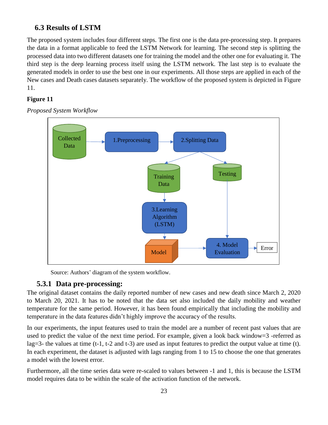### **6.3 Results of LSTM**

The proposed system includes four different steps. The first one is the data pre-processing step. It prepares the data in a format applicable to feed the LSTM Network for learning. The second step is splitting the processed data into two different datasets one for training the model and the other one for evaluating it. The third step is the deep learning process itself using the LSTM network. The last step is to evaluate the generated models in order to use the best one in our experiments. All those steps are applied in each of the New cases and Death cases datasets separately. The workflow of the proposed system is depicted in [Figure](#page-22-0)  11.

#### <span id="page-22-0"></span>**Figure 11**



*Proposed System Workflow*

Source: Authors' diagram of the system workflow.

#### **5.3.1 Data pre-processing:**

The original dataset contains the daily reported number of new cases and new death since March 2, 2020 to March 20, 2021. It has to be noted that the data set also included the daily mobility and weather temperature for the same period. However, it has been found empirically that including the mobility and temperature in the data features didn't highly improve the accuracy of the results.

In our experiments, the input features used to train the model are a number of recent past values that are used to predict the value of the next time period. For example, given a look back window=3 -referred as lag=3- the values at time (t-1, t-2 and t-3) are used as input features to predict the output value at time (t). In each experiment, the dataset is adjusted with lags ranging from 1 to 15 to choose the one that generates a model with the lowest error.

Furthermore, all the time series data were re-scaled to values between -1 and 1, this is because the LSTM model requires data to be within the scale of the activation function of the network.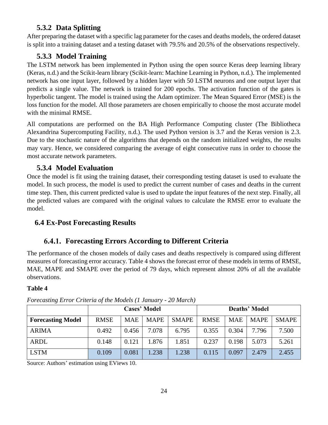## **5.3.2 Data Splitting**

After preparing the dataset with a specific lag parameter for the cases and deaths models, the ordered dataset is split into a training dataset and a testing dataset with 79.5% and 20.5% of the observations respectively.

## **5.3.3 Model Training**

The LSTM network has been implemented in Python using the open source Keras deep learning library (Keras, n.d.) and the Scikit-learn library (Scikit-learn: Machine Learning in Python, n.d.). The implemented network has one input layer, followed by a hidden layer with 50 LSTM neurons and one output layer that predicts a single value. The network is trained for 200 epochs. The activation function of the gates is hyperbolic tangent. The model is trained using the Adam optimizer. The Mean Squared Error (MSE) is the loss function for the model. All those parameters are chosen empirically to choose the most accurate model with the minimal RMSE.

All computations are performed on the BA High Performance Computing cluster (The Bibliotheca Alexandrina Supercomputing Facility, n.d.). The used Python version is 3.7 and the Keras version is 2.3. Due to the stochastic nature of the algorithms that depends on the random initialized weights, the results may vary. Hence, we considered comparing the average of eight consecutive runs in order to choose the most accurate network parameters.

## **5.3.4 Model Evaluation**

Once the model is fit using the training dataset, their corresponding testing dataset is used to evaluate the model. In such process, the model is used to predict the current number of cases and deaths in the current time step. Then, this current predicted value is used to update the input features of the next step. Finally, all the predicted values are compared with the original values to calculate the RMSE error to evaluate the model.

# **6.4 Ex-Post Forecasting Results**

# **Forecasting Errors According to Different Criteria**

The performance of the chosen models of daily cases and deaths respectively is compared using different measures of forecasting error accuracy. Table 4 shows the forecast error of these models in terms of RMSE, MAE, MAPE and SMAPE over the period of 79 days, which represent almost 20% of all the available observations.

#### **Table 4**

|                          | <b>Cases' Model</b> |            |             |              | <b>Deaths' Model</b> |            |             |              |
|--------------------------|---------------------|------------|-------------|--------------|----------------------|------------|-------------|--------------|
| <b>Forecasting Model</b> | <b>RMSE</b>         | <b>MAE</b> | <b>MAPE</b> | <b>SMAPE</b> | <b>RMSE</b>          | <b>MAE</b> | <b>MAPE</b> | <b>SMAPE</b> |
| <b>ARIMA</b>             | 0.492               | 0.456      | 7.078       | 6.795        | 0.355                | 0.304      | 7.796       | 7.500        |
| <b>ARDL</b>              | 0.148               | 0.121      | 1.876       | 1.851        | 0.237                | 0.198      | 5.073       | 5.261        |
| <b>LSTM</b>              | 0.109               | 0.081      | .238        | 1.238        | 0.115                | 0.097      | 2.479       | 2.455        |

*Forecasting Error Criteria of the Models (1 January - 20 March)*

Source: Authors' estimation using EViews 10.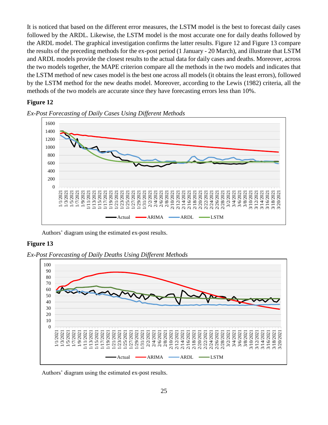It is noticed that based on the different error measures, the LSTM model is the best to forecast daily cases followed by the ARDL. Likewise, the LSTM model is the most accurate one for daily deaths followed by the ARDL model. The graphical investigation confirms the latter results. Figure 12 and Figure 13 compare the results of the preceding methods for the ex-post period (1 January - 20 March), and illustrate that LSTM and ARDL models provide the closest results to the actual data for daily cases and deaths. Moreover, across the two models together, the MAPE criterion compare all the methods in the two models and indicates that the LSTM method of new cases model is the best one across all models (it obtains the least errors), followed by the LSTM method for the new deaths model. Moreover, according to the Lewis (1982) criteria, all the methods of the two models are accurate since they have forecasting errors less than 10%.

#### **Figure 12**



*Ex-Post Forecasting of Daily Cases Using Different Methods*

Authors' diagram using the estimated ex-post results.

#### **Figure 13**

*Ex-Post Forecasting of Daily Deaths Using Different Methods*



Authors' diagram using the estimated ex-post results.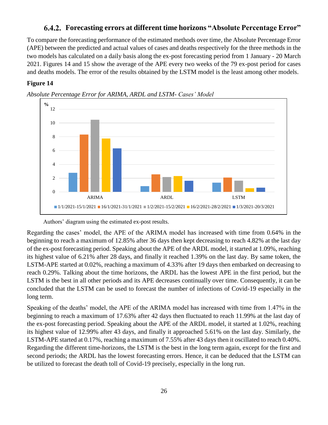#### **Forecasting errors at different time horizons "Absolute Percentage Error"**

To compare the forecasting performance of the estimated methods over time, the Absolute Percentage Error (APE) between the predicted and actual values of cases and deaths respectively for the three methods in the two models has calculated on a daily basis along the ex-post forecasting period from 1 January - 20 March 2021. Figures 14 and 15 show the average of the APE every two weeks of the 79 ex-post period for cases and deaths models. The error of the results obtained by the LSTM model is the least among other models.

#### **Figure 14**



*Absolute Percentage Error for ARIMA, ARDL and LSTM- Cases' Model*

Authors' diagram using the estimated ex-post results.

Regarding the cases' model, the APE of the ARIMA model has increased with time from 0.64% in the beginning to reach a maximum of 12.85% after 36 days then kept decreasing to reach 4.82% at the last day of the ex-post forecasting period. Speaking about the APE of the ARDL model, it started at 1.09%, reaching its highest value of 6.21% after 28 days, and finally it reached 1.39% on the last day. By same token, the LSTM-APE started at 0.02%, reaching a maximum of 4.33% after 19 days then embarked on decreasing to reach 0.29%. Talking about the time horizons, the ARDL has the lowest APE in the first period, but the LSTM is the best in all other periods and its APE decreases continually over time. Consequently, it can be concluded that the LSTM can be used to forecast the number of infections of Covid-19 especially in the long term.

Speaking of the deaths' model, the APE of the ARIMA model has increased with time from 1.47% in the beginning to reach a maximum of 17.63% after 42 days then fluctuated to reach 11.99% at the last day of the ex-post forecasting period. Speaking about the APE of the ARDL model, it started at 1.02%, reaching its highest value of 12.99% after 43 days, and finally it approached 5.61% on the last day. Similarly, the LSTM-APE started at 0.17%, reaching a maximum of 7.55% after 43 days then it oscillated to reach 0.40%. Regarding the different time-horizons, the LSTM is the best in the long term again, except for the first and second periods; the ARDL has the lowest forecasting errors. Hence, it can be deduced that the LSTM can be utilized to forecast the death toll of Covid-19 precisely, especially in the long run.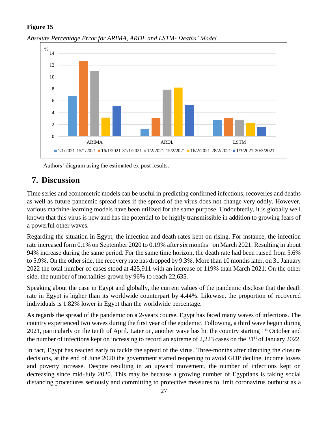#### **Figure 15**



*Absolute Percentage Error for ARIMA, ARDL and LSTM- Deaths' Model*

Authors' diagram using the estimated ex-post results.

# **7. Discussion**

Time series and econometric models can be useful in predicting confirmed infections, recoveries and deaths as well as future pandemic spread rates if the spread of the virus does not change very oddly. However, various machine-learning models have been utilized for the same purpose. Undoubtedly, it is globally well known that this virus is new and has the potential to be highly transmissible in addition to growing fears of a powerful other waves.

Regarding the situation in Egypt, the infection and death rates kept on rising. For instance, the infection rate increased form 0.1% on September 2020 to 0.19% after six months –on March 2021. Resulting in about 94% increase during the same period. For the same time horizon, the death rate had been raised from 5.6% to 5.9%. On the other side, the recovery rate has dropped by 9.3%. More than 10 months later, on 31 January 2022 the total number of cases stood at 425,911 with an increase of 119% than March 2021. On the other side, the number of mortalities grown by 96% to reach 22,635.

Speaking about the case in Egypt and globally, the current values of the pandemic disclose that the death rate in Egypt is higher than its worldwide counterpart by 4.44%. Likewise, the proportion of recovered individuals is 1.82% lower in Egypt than the worldwide percentage.

As regards the spread of the pandemic on a 2-years course, Egypt has faced many waves of infections. The country experienced two waves during the first year of the epidemic. Following, a third wave begun during 2021, particularly on the tenth of April. Later on, another wave has hit the country starting 1<sup>st</sup> October and the number of infections kept on increasing to record an extreme of 2,223 cases on the 31st of January 2022.

In fact, Egypt has reacted early to tackle the spread of the virus. Three-months after directing the closure decisions, at the end of June 2020 the government started reopening to avoid GDP decline, income losses and poverty increase. Despite resulting in an upward movement, the number of infections kept on decreasing since mid-July 2020. This may be because a growing number of Egyptians is taking social distancing procedures seriously and committing to protective measures to limit coronavirus outburst as a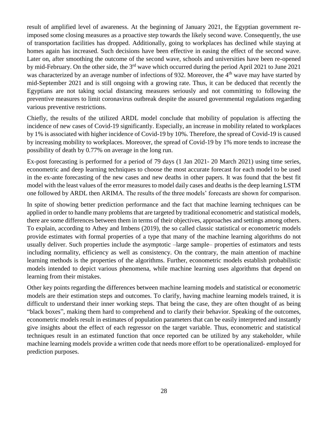result of amplified level of awareness. At the beginning of January 2021, the Egyptian government reimposed some closing measures as a proactive step towards the likely second wave. Consequently, the use of transportation facilities has dropped. Additionally, going to workplaces has declined while staying at homes again has increased. Such decisions have been effective in easing the effect of the second wave. Later on, after smoothing the outcome of the second wave, schools and universities have been re-opened by mid-February. On the other side, the 3rd wave which occurred during the period April 2021 to June 2021 was characterized by an average number of infections of 932. Moreover, the 4<sup>th</sup> wave may have started by mid-September 2021 and is still ongoing with a growing rate. Thus, it can be deduced that recently the Egyptians are not taking social distancing measures seriously and not committing to following the preventive measures to limit coronavirus outbreak despite the assured governmental regulations regarding various preventive restrictions.

Chiefly, the results of the utilized ARDL model conclude that mobility of population is affecting the incidence of new cases of Covid-19 significantly. Especially, an increase in mobility related to workplaces by 1% is associated with higher incidence of Covid-19 by 10%. Therefore, the spread of Covid-19 is caused by increasing mobility to workplaces. Moreover, the spread of Covid-19 by 1% more tends to increase the possibility of death by 0.77% on average in the long run.

Ex-post forecasting is performed for a period of 79 days (1 Jan 2021- 20 March 2021) using time series, econometric and deep learning techniques to choose the most accurate forecast for each model to be used in the ex-ante forecasting of the new cases and new deaths in other papers. It was found that the best fit model with the least values of the error measures to model daily cases and deaths is the deep learning LSTM one followed by ARDL then ARIMA. The results of the three models' forecasts are shown for comparison.

In spite of showing better prediction performance and the fact that machine learning techniques can be applied in order to handle many problems that are targeted by traditional econometric and statistical models, there are some differences between them in terms of their objectives, approaches and settings among others. To explain, according to Athey and Imbens (2019), the so called classic statistical or econometric models provide estimates with formal properties of a type that many of the machine learning algorithms do not usually deliver. Such properties include the asymptotic –large sample– properties of estimators and tests including normality, efficiency as well as consistency. On the contrary, the main attention of machine learning methods is the properties of the algorithms. Further, econometric models establish probabilistic models intended to depict various phenomena, while machine learning uses algorithms that depend on learning from their mistakes.

Other key points regarding the differences between machine learning models and statistical or econometric models are their estimation steps and outcomes. To clarify, having machine learning models trained, it is difficult to understand their inner working steps. That being the case, they are often thought of as being "black boxes", making them hard to comprehend and to clarify their behavior. Speaking of the outcomes, econometric models result in estimates of population parameters that can be easily interpreted and instantly give insights about the effect of each regressor on the target variable. Thus, econometric and statistical techniques result in an estimated function that once reported can be utilized by any stakeholder, while machine learning models provide a written code that needs more effort to be operationalized**-** employed for prediction purposes.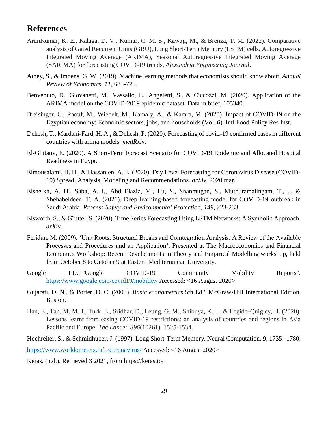## **References**

- ArunKumar, K. E., Kalaga, D. V., Kumar, C. M. S., Kawaji, M., & Brenza, T. M. (2022). Comparative analysis of Gated Recurrent Units (GRU), Long Short-Term Memory (LSTM) cells, Autoregressive Integrated Moving Average (ARIMA), Seasonal Autoregressive Integrated Moving Average (SARIMA) for forecasting COVID-19 trends. *Alexandria Engineering Journal*.
- Athey, S., & Imbens, G. W. (2019). Machine learning methods that economists should know about. *Annual Review of Economics*, *11*, 685-725.
- Benvenuto, D., Giovanetti, M., Vassallo, L., Angeletti, S., & Ciccozzi, M. (2020). Application of the ARIMA model on the COVID-2019 epidemic dataset. Data in brief, 105340.
- Breisinger, C., Raouf, M., Wiebelt, M., Kamaly, A., & Karara, M. (2020). Impact of COVID-19 on the Egyptian economy: Economic sectors, jobs, and households (Vol. 6). Intl Food Policy Res Inst.
- Dehesh, T., Mardani-Fard, H. A., & Dehesh, P. (2020). Forecasting of covid-19 confirmed cases in different countries with arima models. *medRxiv*.
- El-Ghitany, E. (2020). A Short-Term Forecast Scenario for COVID-19 Epidemic and Allocated Hospital Readiness in Egypt.
- Elmousalami, H. H., & Hassanien, A. E. (2020). Day Level Forecasting for Coronavirus Disease (COVID-19) Spread: Analysis, Modeling and Recommendations. *arXiv*. 2020 mar.
- Elsheikh, A. H., Saba, A. I., Abd Elaziz, M., Lu, S., Shanmugan, S., Muthuramalingam, T., ... & Shehabeldeen, T. A. (2021). Deep learning-based forecasting model for COVID-19 outbreak in Saudi Arabia. *Process Safety and Environmental Protection*, *149*, 223-233.
- Elsworth, S., & G¨uttel, S. (2020). Time Series Forecasting Using LSTM Networks: A Symbolic Approach. *arXiv*.
- Feridun, M. (2009), 'Unit Roots, Structural Breaks and Cointegration Analysis: A Review of the Available Processes and Procedures and an Application', Presented at The Macroeconomics and Financial Economics Workshop: Recent Developments in Theory and Empirical Modelling workshop, held from October 8 to October 9 at Eastern Mediterranean University.
- Google LLC "Google COVID-19 Community Mobility Reports". <https://www.google.com/covid19/mobility/> Accessed: <16 August 2020>
- Gujarati, D. N., & Porter, D. C. (2009). *Basic econometrics* 5th Ed." McGraw-Hill International Edition, Boston.
- Han, E., Tan, M. M. J., Turk, E., Sridhar, D., Leung, G. M., Shibuya, K., ... & Legido-Quigley, H. (2020). Lessons learnt from easing COVID-19 restrictions: an analysis of countries and regions in Asia Pacific and Europe. *The Lancet*, *396*(10261), 1525-1534.

Hochreiter, S., & Schmidhuber, J. (1997). Long Short-Term Memory. Neural Computation, 9, 1735--1780. <https://www.worldometers.info/coronavirus/> Accessed: <16 August 2020>

Keras. (n.d.). Retrieved 3 2021, from https://keras.io/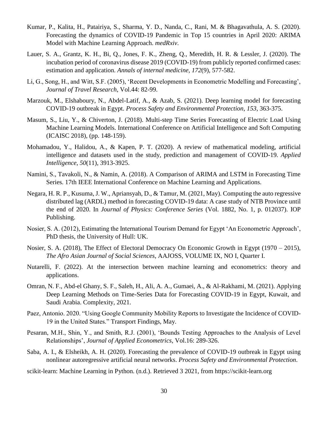- Kumar, P., Kalita, H., Patairiya, S., Sharma, Y. D., Nanda, C., Rani, M. & Bhagavathula, A. S. (2020). Forecasting the dynamics of COVID-19 Pandemic in Top 15 countries in April 2020: ARIMA Model with Machine Learning Approach. *medRxiv*.
- Lauer, S. A., Grantz, K. H., Bi, Q., Jones, F. K., Zheng, Q., Meredith, H. R. & Lessler, J. (2020). The incubation period of coronavirus disease 2019 (COVID-19) from publicly reported confirmed cases: estimation and application. *Annals of internal medicine*, *172*(9), 577-582.
- Li, G., Song, H., and Witt, S.F. (2005), 'Recent Developments in Econometric Modelling and Forecasting', *Journal of Travel Research*, Vol.44: 82-99.
- Marzouk, M., Elshaboury, N., Abdel-Latif, A., & Azab, S. (2021). Deep learning model for forecasting COVID-19 outbreak in Egypt. *Process Safety and Environmental Protection*, *153*, 363-375.
- Masum, S., Liu, Y., & Chiverton, J. (2018). Multi-step Time Series Forecasting of Electric Load Using Machine Learning Models. International Conference on Artificial Intelligence and Soft Computing (ICAISC 2018), (pp. 148-159).
- Mohamadou, Y., Halidou, A., & Kapen, P. T. (2020). A review of mathematical modeling, artificial intelligence and datasets used in the study, prediction and management of COVID-19. *Applied Intelligence*, *50*(11), 3913-3925.
- Namini, S., Tavakoli, N., & Namin, A. (2018). A Comparison of ARIMA and LSTM in Forecasting Time Series. 17th IEEE International Conference on Machine Learning and Applications.
- Negara, H. R. P., Kusuma, J. W., Apriansyah, D., & Tamur, M. (2021, May). Computing the auto regressive distributed lag (ARDL) method in forecasting COVID-19 data: A case study of NTB Province until the end of 2020. In *Journal of Physics: Conference Series* (Vol. 1882, No. 1, p. 012037). IOP Publishing.
- Nosier, S. A. (2012), Estimating the International Tourism Demand for Egypt 'An Econometric Approach', PhD thesis, the University of Hull: UK.
- Nosier, S. A. (2018), The Effect of Electoral Democracy On Economic Growth in Egypt (1970 2015), *The Afro Asian Journal of Social Sciences*, AAJOSS, VOLUME IX, NO I, Quarter I.
- Nutarelli, F. (2022). At the intersection between machine learning and econometrics: theory and applications.
- Omran, N. F., Abd-el Ghany, S. F., Saleh, H., Ali, A. A., Gumaei, A., & Al-Rakhami, M. (2021). Applying Deep Learning Methods on Time-Series Data for Forecasting COVID-19 in Egypt, Kuwait, and Saudi Arabia. Complexity, 2021.
- Paez, Antonio. 2020. "Using Google Community Mobility Reports to Investigate the Incidence of COVID-19 in the United States." Transport Findings, May.
- Pesaran, M.H., Shin, Y., and Smith, R.J. (2001), 'Bounds Testing Approaches to the Analysis of Level Relationships', *Journal of Applied Econometrics*, Vol.16: 289-326.
- Saba, A. I., & Elsheikh, A. H. (2020). Forecasting the prevalence of COVID-19 outbreak in Egypt using nonlinear autoregressive artificial neural networks. *Process Safety and Environmental Protection*.
- scikit-learn: Machine Learning in Python. (n.d.). Retrieved 3 2021, from https://scikit-learn.org